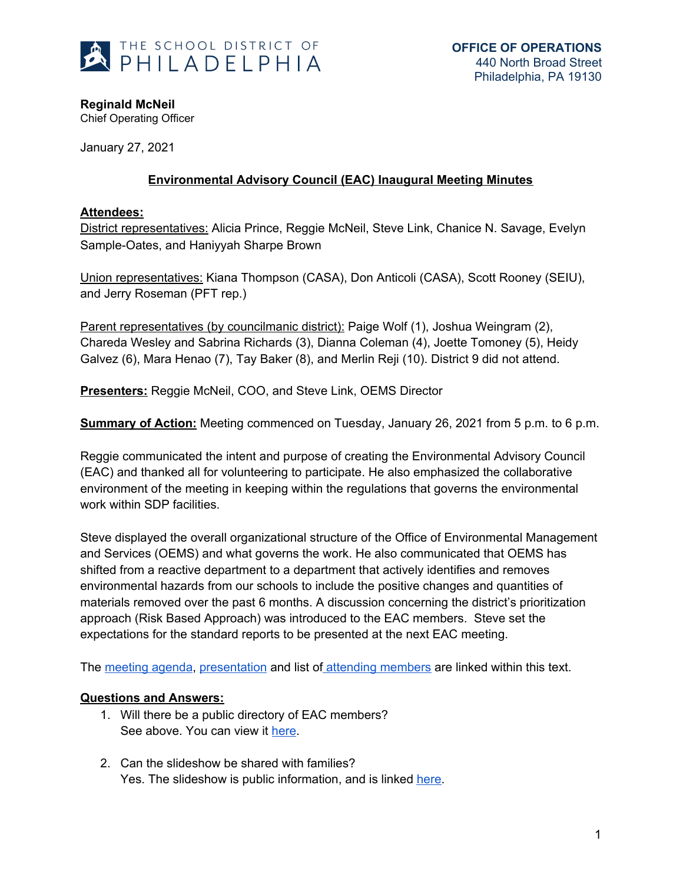

**Reginald McNeil**

Chief Operating Officer

January 27, 2021

## **Environmental Advisory Council (EAC) Inaugural Meeting Minutes**

## **Attendees:**

District representatives: Alicia Prince, Reggie McNeil, Steve Link, Chanice N. Savage, Evelyn Sample-Oates, and Haniyyah Sharpe Brown

Union representatives: Kiana Thompson (CASA), Don Anticoli (CASA), Scott Rooney (SEIU), and Jerry Roseman (PFT rep.)

Parent representatives (by councilmanic district): Paige Wolf (1), Joshua Weingram (2), Chareda Wesley and Sabrina Richards (3), Dianna Coleman (4), Joette Tomoney (5), Heidy Galvez (6), Mara Henao (7), Tay Baker (8), and Merlin Reji (10). District 9 did not attend.

**Presenters:** Reggie McNeil, COO, and Steve Link, OEMS Director

**Summary of Action:** Meeting commenced on Tuesday, January 26, 2021 from 5 p.m. to 6 p.m.

Reggie communicated the intent and purpose of creating the Environmental Advisory Council (EAC) and thanked all for volunteering to participate. He also emphasized the collaborative environment of the meeting in keeping within the regulations that governs the environmental work within SDP facilities.

Steve displayed the overall organizational structure of the Office of Environmental Management and Services (OEMS) and what governs the work. He also communicated that OEMS has shifted from a reactive department to a department that actively identifies and removes environmental hazards from our schools to include the positive changes and quantities of materials removed over the past 6 months. A discussion concerning the district's prioritization approach (Risk Based Approach) was introduced to the EAC members. Steve set the expectations for the standard reports to be presented at the next EAC meeting.

The [meeting](https://drive.google.com/file/d/1hGxZuQF7Ooa01PgUuqxan_-7abqIxSFQ/view?usp=sharing) agenda, [presentation](https://drive.google.com/file/d/1L-EJnumSYrAbKe88s9azVnVcROnB2n7y/view?usp=sharing) and list of attending [members](https://drive.google.com/file/d/1dOHP_DE4stNM7AHoJBTA0QWvGGGSUZCV/view?usp=sharing) are linked within this text.

## **Questions and Answers:**

- 1. Will there be a public directory of EAC members? See above. You can view it [here.](https://drive.google.com/file/d/1dOHP_DE4stNM7AHoJBTA0QWvGGGSUZCV/view)
- 2. Can the slideshow be shared with families? Yes. The slideshow is public information, and is linked [here.](https://drive.google.com/file/d/1L-EJnumSYrAbKe88s9azVnVcROnB2n7y/view?usp=sharing)